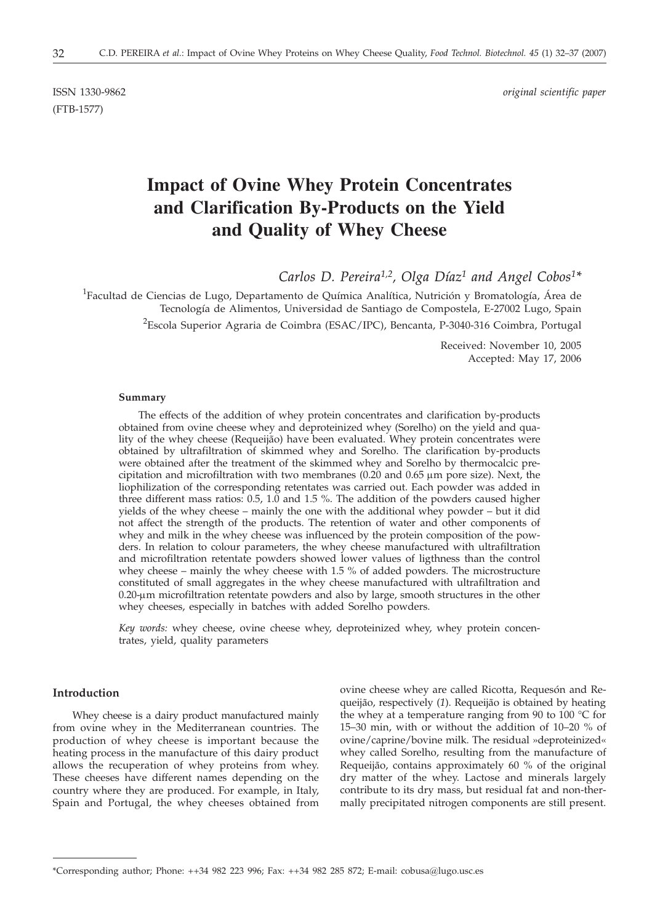(FTB-1577)

ISSN 1330-9862 *original scientific paper*

# **Impact of Ovine Whey Protein Concentrates and Clarification By-Products on the Yield and Quality of Whey Cheese**

*Carlos D. Pereira1,2, Olga Díaz1 and Angel Cobos1\**

<sup>1</sup>Facultad de Ciencias de Lugo, Departamento de Química Analítica, Nutrición y Bromatología, Área de Tecnología de Alimentos, Universidad de Santiago de Compostela, E-27002 Lugo, Spain  $^2$ Escola Superior Agraria de Coimbra (ESAC/IPC), Bencanta, P-3040-316 Coimbra, Portugal

> Received: November 10, 2005 Accepted: May 17, 2006

#### **Summary**

The effects of the addition of whey protein concentrates and clarification by-products obtained from ovine cheese whey and deproteinized whey (Sorelho) on the yield and quality of the whey cheese (Requeijão) have been evaluated. Whey protein concentrates were obtained by ultrafiltration of skimmed whey and Sorelho. The clarification by-products were obtained after the treatment of the skimmed whey and Sorelho by thermocalcic precipitation and microfiltration with two membranes  $(0.20 \text{ and } 0.65 \mu \text{m}$  pore size). Next, the liophilization of the corresponding retentates was carried out. Each powder was added in three different mass ratios: 0.5, 1.0 and 1.5 %. The addition of the powders caused higher yields of the whey cheese – mainly the one with the additional whey powder – but it did not affect the strength of the products. The retention of water and other components of whey and milk in the whey cheese was influenced by the protein composition of the powders. In relation to colour parameters, the whey cheese manufactured with ultrafiltration and microfiltration retentate powders showed lower values of ligthness than the control whey cheese – mainly the whey cheese with 1.5 % of added powders. The microstructure constituted of small aggregates in the whey cheese manufactured with ultrafiltration and 0.20-mm microfiltration retentate powders and also by large, smooth structures in the other whey cheeses, especially in batches with added Sorelho powders.

*Key words:* whey cheese, ovine cheese whey, deproteinized whey, whey protein concentrates, yield, quality parameters

## **Introduction**

Whey cheese is a dairy product manufactured mainly from ovine whey in the Mediterranean countries. The production of whey cheese is important because the heating process in the manufacture of this dairy product allows the recuperation of whey proteins from whey. These cheeses have different names depending on the country where they are produced. For example, in Italy, Spain and Portugal, the whey cheeses obtained from ovine cheese whey are called Ricotta, Requesón and Requeijão, respectively (*1*). Requeijão is obtained by heating the whey at a temperature ranging from 90 to 100  $\degree$ C for 15–30 min, with or without the addition of 10–20 % of ovine/caprine/bovine milk. The residual »deproteinized« whey called Sorelho, resulting from the manufacture of Requeijão, contains approximately 60 % of the original dry matter of the whey. Lactose and minerals largely contribute to its dry mass, but residual fat and non-thermally precipitated nitrogen components are still present.

<sup>\*</sup>Corresponding author; Phone: ++34 982 223 996; Fax: ++34 982 285 872; E-mail: cobusa*@*lugo.usc.es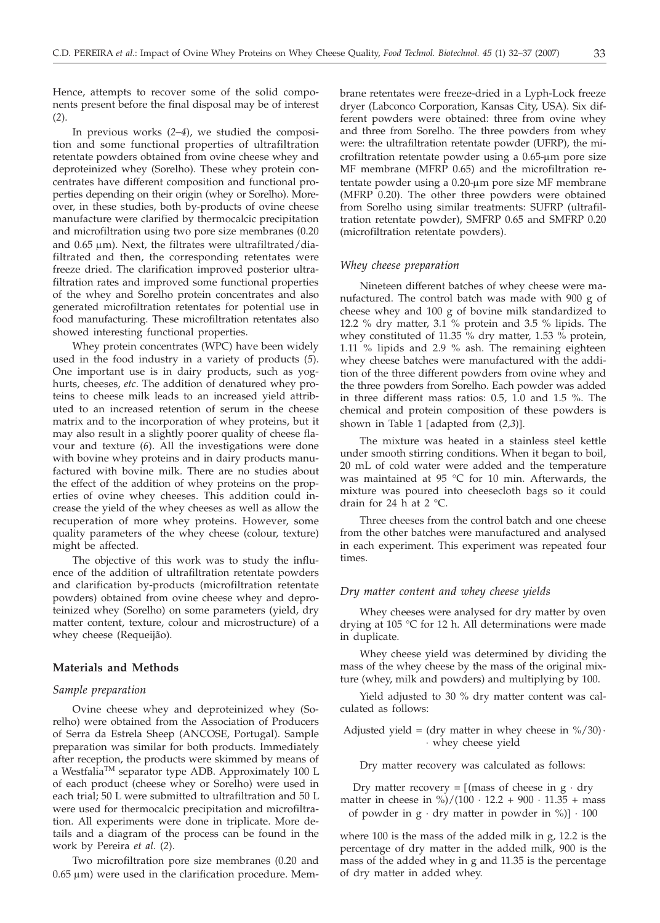Hence, attempts to recover some of the solid components present before the final disposal may be of interest (*2*).

In previous works (*2–4*), we studied the composition and some functional properties of ultrafiltration retentate powders obtained from ovine cheese whey and deproteinized whey (Sorelho). These whey protein concentrates have different composition and functional properties depending on their origin (whey or Sorelho). Moreover, in these studies, both by-products of ovine cheese manufacture were clarified by thermocalcic precipitation and microfiltration using two pore size membranes (0.20 and  $0.65 \mu$ m). Next, the filtrates were ultrafiltrated/diafiltrated and then, the corresponding retentates were freeze dried. The clarification improved posterior ultrafiltration rates and improved some functional properties of the whey and Sorelho protein concentrates and also generated microfiltration retentates for potential use in food manufacturing. These microfiltration retentates also showed interesting functional properties.

Whey protein concentrates (WPC) have been widely used in the food industry in a variety of products (*5*). One important use is in dairy products, such as yoghurts, cheeses, *etc*. The addition of denatured whey proteins to cheese milk leads to an increased yield attributed to an increased retention of serum in the cheese matrix and to the incorporation of whey proteins, but it may also result in a slightly poorer quality of cheese flavour and texture (*6*). All the investigations were done with bovine whey proteins and in dairy products manufactured with bovine milk. There are no studies about the effect of the addition of whey proteins on the properties of ovine whey cheeses. This addition could increase the yield of the whey cheeses as well as allow the recuperation of more whey proteins. However, some quality parameters of the whey cheese (colour, texture) might be affected.

The objective of this work was to study the influence of the addition of ultrafiltration retentate powders and clarification by-products (microfiltration retentate powders) obtained from ovine cheese whey and deproteinized whey (Sorelho) on some parameters (yield, dry matter content, texture, colour and microstructure) of a whey cheese (Requeijão).

# **Materials and Methods**

#### *Sample preparation*

Ovine cheese whey and deproteinized whey (Sorelho) were obtained from the Association of Producers of Serra da Estrela Sheep (ANCOSE, Portugal). Sample preparation was similar for both products. Immediately after reception, the products were skimmed by means of a WestfaliaTM separator type ADB. Approximately 100 L of each product (cheese whey or Sorelho) were used in each trial; 50 L were submitted to ultrafiltration and 50 L were used for thermocalcic precipitation and microfiltration. All experiments were done in triplicate. More details and a diagram of the process can be found in the work by Pereira *et al.* (*2*).

Two microfiltration pore size membranes (0.20 and  $0.65 \mu m$ ) were used in the clarification procedure. Membrane retentates were freeze-dried in a Lyph-Lock freeze dryer (Labconco Corporation, Kansas City, USA). Six different powders were obtained: three from ovine whey and three from Sorelho. The three powders from whey were: the ultrafiltration retentate powder (UFRP), the microfiltration retentate powder using a  $0.65$ - $\mu$ m pore size MF membrane (MFRP 0.65) and the microfiltration retentate powder using a 0.20-µm pore size MF membrane (MFRP 0.20). The other three powders were obtained from Sorelho using similar treatments: SUFRP (ultrafiltration retentate powder), SMFRP 0.65 and SMFRP 0.20 (microfiltration retentate powders).

#### *Whey cheese preparation*

Nineteen different batches of whey cheese were manufactured. The control batch was made with 900 g of cheese whey and 100 g of bovine milk standardized to 12.2 % dry matter, 3.1 % protein and 3.5 % lipids. The whey constituted of 11.35  $\%$  dry matter, 1.53  $\%$  protein, 1.11 % lipids and 2.9 % ash. The remaining eighteen whey cheese batches were manufactured with the addition of the three different powders from ovine whey and the three powders from Sorelho. Each powder was added in three different mass ratios: 0.5, 1.0 and 1.5 %. The chemical and protein composition of these powders is shown in Table 1 [adapted from (*2,3*)].

The mixture was heated in a stainless steel kettle under smooth stirring conditions. When it began to boil, 20 mL of cold water were added and the temperature was maintained at 95 °C for 10 min. Afterwards, the mixture was poured into cheesecloth bags so it could drain for 24 h at  $2 \degree C$ .

Three cheeses from the control batch and one cheese from the other batches were manufactured and analysed in each experiment. This experiment was repeated four times.

#### *Dry matter content and whey cheese yields*

Whey cheeses were analysed for dry matter by oven drying at 105 °C for 12 h. All determinations were made in duplicate.

Whey cheese yield was determined by dividing the mass of the whey cheese by the mass of the original mixture (whey, milk and powders) and multiplying by 100.

Yield adjusted to 30 % dry matter content was calculated as follows:

Adjusted yield = (dry matter in whey cheese in %/30) $\cdot$ · whey cheese yield

Dry matter recovery was calculated as follows:

Dry matter recovery =  $\int$  [mass of cheese in g  $\cdot$  dry matter in cheese in  $\frac{\frac{1}{2}}{\frac{1}{2}}$  (100 · 12.2 + 900 · 11.35 + mass of powder in  $g \cdot dry$  matter in powder in %)]  $\cdot 100$ 

where 100 is the mass of the added milk in g, 12.2 is the percentage of dry matter in the added milk, 900 is the mass of the added whey in g and 11.35 is the percentage of dry matter in added whey.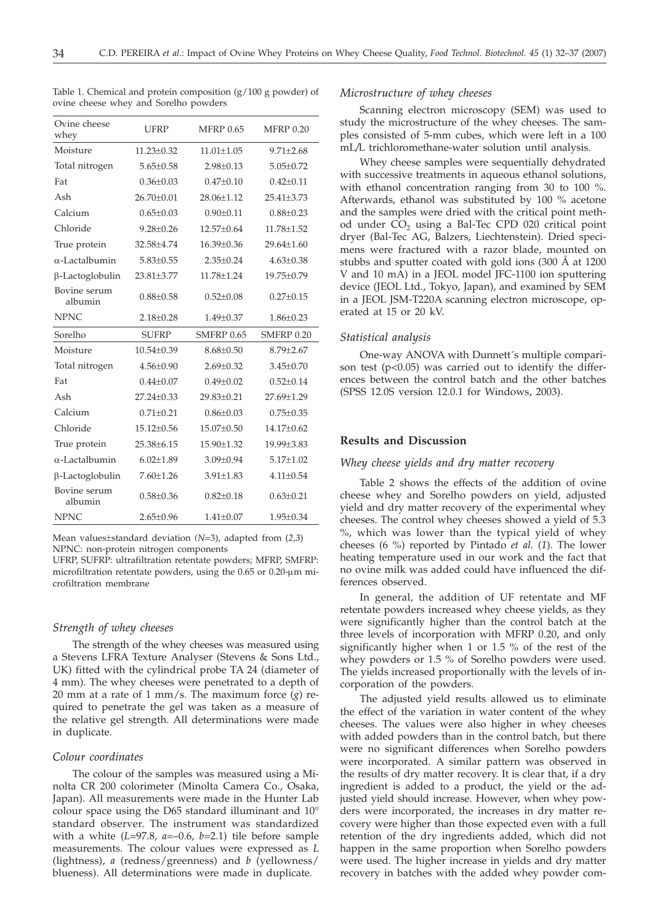| Ovine cheese<br>whey    | <b>UFRP</b>      | <b>MFRP 0.65</b>  | <b>MFRP 0.20</b> |
|-------------------------|------------------|-------------------|------------------|
| Moisture                | $11.23 + 0.32$   | $11.01 + 1.05$    | $9.71 + 2.68$    |
| Total nitrogen          | $5.65 \pm 0.58$  | $2.98 \pm 0.13$   | $5.05 \pm 0.72$  |
| Fat                     | $0.36 \pm 0.03$  | $0.47 + 0.10$     | $0.42 \pm 0.11$  |
| Ash                     | $26.70+0.01$     | $28.06 + 1.12$    | $25.41 + 3.73$   |
| Calcium                 | $0.65 + 0.03$    | $0.90 + 0.11$     | $0.88{\pm}0.23$  |
| Chloride                | $9.28 + 0.26$    | $12.57+0.64$      | $11.78 + 1.52$   |
| True protein            | 32.58+4.74       | $16.39 + 0.36$    | $29.64 + 1.60$   |
| $\alpha$ -Lactalbumin   | $5.83 + 0.55$    | $2.35+0.24$       | $4.63 + 0.38$    |
| β-Lactoglobulin         | $23.81 \pm 3.77$ | 11.78±1.24        | 19.75±0.79       |
| Bovine serum<br>albumin | $0.88 + 0.58$    | $0.52 + 0.08$     | $0.27 + 0.15$    |
| NPNC                    | $2.18 \pm 0.28$  | $1.49 \pm 0.37$   | $1.86 \pm 0.23$  |
| Sorelho                 | <b>SUFRP</b>     | <b>SMFRP 0.65</b> | SMFRP 0.20       |
| Moisture                | $10.54 + 0.39$   | $8.68 + 0.50$     | $8.79 + 2.67$    |
| Total nitrogen          | $4.56 + 0.90$    | $2.69 + 0.32$     | $3.45 + 0.70$    |
| Fat                     | $0.44 \pm 0.07$  | $0.49 + 0.02$     | $0.52 \pm 0.14$  |
| Ash                     | $27.24 \pm 0.33$ | 29.83±0.21        | 27.69±1.29       |
| Calcium                 | $0.71 \pm 0.21$  | $0.86 \pm 0.03$   | $0.75 \pm 0.35$  |
| Chloride                | $15.12 \pm 0.56$ | $15.07 \pm 0.50$  | 14.17±0.62       |
| True protein            | 25.38±6.15       | 15.90±1.32        | 19.99±3.83       |
| $\alpha$ -Lactalbumin   | $6.02 \pm 1.89$  | $3.09 \pm 0.94$   | $5.17 \pm 1.02$  |
| $\beta$ -Lactoglobulin  | $7.60 \pm 1.26$  | $3.91 \pm 1.83$   | $4.11 \pm 0.54$  |
| Bovine serum<br>albumin | $0.58 \pm 0.36$  | $0.82 \pm 0.18$   | $0.63 \pm 0.21$  |
|                         |                  |                   |                  |
| <b>NPNC</b>             | $2.65 + 0.96$    | $1.41 \pm 0.07$   | $1.95 \pm 0.34$  |

Table 1. Chemical and protein composition (g/100 g powder) of ovine cheese whey and Sorelho powders

Mean values±standard deviation *(N*=3), adapted from (*2,3*) NPNC: non-protein nitrogen components

UFRP, SUFRP: ultrafiltration retentate powders; MFRP, SMFRP: microfiltration retentate powders, using the  $0.65$  or  $0.20$ -um microfiltration membrane

# *Strength of whey cheeses*

The strength of the whey cheeses was measured using a Stevens LFRA Texture Analyser (Stevens & Sons Ltd., UK) fitted with the cylindrical probe TA 24 (diameter of 4 mm). The whey cheeses were penetrated to a depth of 20 mm at a rate of 1 mm/s. The maximum force (*g*) required to penetrate the gel was taken as a measure of the relative gel strength. All determinations were made in duplicate.

## *Colour coordinates*

The colour of the samples was measured using a Minolta CR 200 colorimeter (Minolta Camera Co., Osaka, Japan). All measurements were made in the Hunter Lab colour space using the D65 standard illuminant and 10° standard observer. The instrument was standardized with a white (*L*=97.8, *a*=–0.6, *b*=2.1) tile before sample measurements. The colour values were expressed as *L* (lightness), *a* (redness/greenness) and *b* (yellowness/ blueness). All determinations were made in duplicate.

### *Microstructure of whey cheeses*

Scanning electron microscopy (SEM) was used to study the microstructure of the whey cheeses. The samples consisted of 5-mm cubes, which were left in a 100 mL*/*L trichloromethane-water solution until analysis.

Whey cheese samples were sequentially dehydrated with successive treatments in aqueous ethanol solutions, with ethanol concentration ranging from 30 to 100 %. Afterwards, ethanol was substituted by 100 % acetone and the samples were dried with the critical point method under CO<sub>2</sub> using a Bal-Tec CPD 020 critical point dryer (Bal-Tec AG, Balzers, Liechtenstein). Dried specimens were fractured with a razor blade, mounted on stubbs and sputter coated with gold ions (300 Å at 1200 V and 10 mA) in a JEOL model JFC-1100 ion sputtering device (JEOL Ltd., Tokyo, Japan), and examined by SEM in a JEOL JSM-T220A scanning electron microscope, operated at 15 or 20 kV.

#### *Statistical analysis*

One-way ANOVA with Dunnett´s multiple comparison test  $(p<0.05)$  was carried out to identify the differences between the control batch and the other batches (SPSS 12.0S version 12.0.1 for Windows, 2003).

## **Results and Discussion**

## *Whey cheese yields and dry matter recovery*

Table 2 shows the effects of the addition of ovine cheese whey and Sorelho powders on yield, adjusted yield and dry matter recovery of the experimental whey cheeses. The control whey cheeses showed a yield of 5.3 %, which was lower than the typical yield of whey cheeses (6 %) reported by Pintado *et al.* (*1*). The lower heating temperature used in our work and the fact that no ovine milk was added could have influenced the differences observed.

In general, the addition of UF retentate and MF retentate powders increased whey cheese yields, as they were significantly higher than the control batch at the three levels of incorporation with MFRP 0.20, and only significantly higher when 1 or 1.5 % of the rest of the whey powders or 1.5 % of Sorelho powders were used. The yields increased proportionally with the levels of incorporation of the powders.

The adjusted yield results allowed us to eliminate the effect of the variation in water content of the whey cheeses. The values were also higher in whey cheeses with added powders than in the control batch, but there were no significant differences when Sorelho powders were incorporated. A similar pattern was observed in the results of dry matter recovery. It is clear that, if a dry ingredient is added to a product, the yield or the adjusted yield should increase. However, when whey powders were incorporated, the increases in dry matter recovery were higher than those expected even with a full retention of the dry ingredients added, which did not happen in the same proportion when Sorelho powders were used. The higher increase in yields and dry matter recovery in batches with the added whey powder com-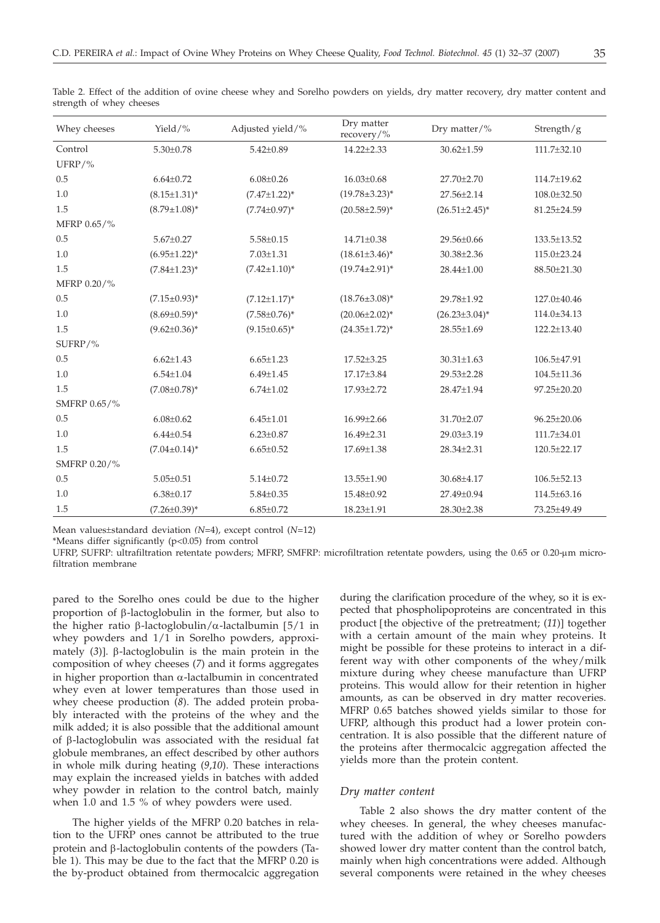| Whey cheeses | Yield/%             | Adjusted yield/%    | Dry matter<br>recovery/% | Dry matter/%         | Strength/g        |
|--------------|---------------------|---------------------|--------------------------|----------------------|-------------------|
| Control      | $5.30 \pm 0.78$     | $5.42 \pm 0.89$     | $14.22 \pm 2.33$         | $30.62 \pm 1.59$     | 111.7±32.10       |
| UFRP/%       |                     |                     |                          |                      |                   |
| 0.5          | $6.64 \pm 0.72$     | $6.08 \pm 0.26$     | $16.03 \pm 0.68$         | $27.70 \pm 2.70$     | 114.7±19.62       |
| 1.0          | $(8.15 \pm 1.31)^*$ | $(7.47 \pm 1.22)^*$ | $(19.78 \pm 3.23)^*$     | $27.56 \pm 2.14$     | $108.0 \pm 32.50$ |
| 1.5          | $(8.79 \pm 1.08)^*$ | $(7.74 \pm 0.97)^*$ | $(20.58 \pm 2.59)^*$     | $(26.51 \pm 2.45)^*$ | 81.25±24.59       |
| MFRP 0.65/%  |                     |                     |                          |                      |                   |
| 0.5          | $5.67 \pm 0.27$     | $5.58 \pm 0.15$     | 14.71±0.38               | 29.56±0.66           | 133.5±13.52       |
| 1.0          | $(6.95 \pm 1.22)^*$ | $7.03 \pm 1.31$     | $(18.61\pm3.46)^*$       | 30.38±2.36           | 115.0±23.24       |
| 1.5          | $(7.84 \pm 1.23)^*$ | $(7.42 \pm 1.10)^*$ | $(19.74 \pm 2.91)^{*}$   | 28.44±1.00           | 88.50±21.30       |
| MFRP 0.20/%  |                     |                     |                          |                      |                   |
| 0.5          | $(7.15 \pm 0.93)^*$ | $(7.12 \pm 1.17)^*$ | $(18.76 \pm 3.08)^*$     | 29.78±1.92           | 127.0±40.46       |
| 1.0          | $(8.69 \pm 0.59)^*$ | $(7.58 \pm 0.76)^*$ | $(20.06 \pm 2.02)^*$     | $(26.23 \pm 3.04)^*$ | $114.0 \pm 34.13$ |
| 1.5          | $(9.62 \pm 0.36)^*$ | $(9.15 \pm 0.65)^*$ | $(24.35 \pm 1.72)^*$     | 28.55±1.69           | 122.2±13.40       |
| SUFRP/%      |                     |                     |                          |                      |                   |
| 0.5          | $6.62 \pm 1.43$     | $6.65 \pm 1.23$     | $17.52 \pm 3.25$         | $30.31 \pm 1.63$     | 106.5±47.91       |
| 1.0          | $6.54 \pm 1.04$     | $6.49{\pm}1.45$     | 17.17±3.84               | 29.53±2.28           | 104.5±11.36       |
| 1.5          | $(7.08 \pm 0.78)^*$ | $6.74 \pm 1.02$     | 17.93±2.72               | 28.47±1.94           | 97.25±20.20       |
| SMFRP 0.65/% |                     |                     |                          |                      |                   |
| 0.5          | $6.08 \pm 0.62$     | $6.45 \pm 1.01$     | $16.99 \pm 2.66$         | 31.70±2.07           | 96.25±20.06       |
| 1.0          | $6.44 \pm 0.54$     | $6.23 \pm 0.87$     | $16.49 \pm 2.31$         | 29.03±3.19           | 111.7±34.01       |
| 1.5          | $(7.04 \pm 0.14)^*$ | $6.65 \pm 0.52$     | 17.69±1.38               | 28.34±2.31           | 120.5±22.17       |
| SMFRP 0.20/% |                     |                     |                          |                      |                   |
| 0.5          | $5.05 \pm 0.51$     | $5.14 \pm 0.72$     | 13.55±1.90               | 30.68±4.17           | 106.5±52.13       |
| 1.0          | $6.38 \pm 0.17$     | $5.84 \pm 0.35$     | 15.48±0.92               | 27.49±0.94           | 114.5±63.16       |
| 1.5          | $(7.26 \pm 0.39)^*$ | $6.85 \pm 0.72$     | 18.23±1.91               | 28.30±2.38           | 73.25±49.49       |

Table 2. Effect of the addition of ovine cheese whey and Sorelho powders on yields, dry matter recovery, dry matter content and strength of whey cheeses

Mean values±standard deviation *(N*=4), except control (*N*=12)

\*Means differ significantly (p<0.05) from control

UFRP, SUFRP: ultrafiltration retentate powders; MFRP, SMFRP: microfiltration retentate powders, using the 0.65 or 0.20-µm microfiltration membrane

pared to the Sorelho ones could be due to the higher proportion of  $\beta$ -lactoglobulin in the former, but also to the higher ratio  $\beta$ -lactoglobulin/ $\alpha$ -lactalbumin [5/1 in whey powders and 1/1 in Sorelho powders, approximately  $(3)$ ].  $\beta$ -lactoglobulin is the main protein in the composition of whey cheeses (*7*) and it forms aggregates in higher proportion than  $\alpha$ -lactalbumin in concentrated whey even at lower temperatures than those used in whey cheese production (*8*). The added protein probably interacted with the proteins of the whey and the milk added; it is also possible that the additional amount of  $\beta$ -lactoglobulin was associated with the residual fat globule membranes, an effect described by other authors in whole milk during heating (*9*,*10*). These interactions may explain the increased yields in batches with added whey powder in relation to the control batch, mainly when 1.0 and 1.5 % of whey powders were used.

The higher yields of the MFRP 0.20 batches in relation to the UFRP ones cannot be attributed to the true protein and  $\beta$ -lactoglobulin contents of the powders (Table 1). This may be due to the fact that the MFRP 0.20 is the by-product obtained from thermocalcic aggregation

during the clarification procedure of the whey, so it is expected that phospholipoproteins are concentrated in this product [the objective of the pretreatment; (*11*)] together with a certain amount of the main whey proteins. It might be possible for these proteins to interact in a different way with other components of the whey/milk mixture during whey cheese manufacture than UFRP proteins. This would allow for their retention in higher amounts, as can be observed in dry matter recoveries. MFRP 0.65 batches showed yields similar to those for UFRP, although this product had a lower protein concentration. It is also possible that the different nature of the proteins after thermocalcic aggregation affected the yields more than the protein content.

#### *Dry matter content*

Table 2 also shows the dry matter content of the whey cheeses. In general, the whey cheeses manufactured with the addition of whey or Sorelho powders showed lower dry matter content than the control batch, mainly when high concentrations were added. Although several components were retained in the whey cheeses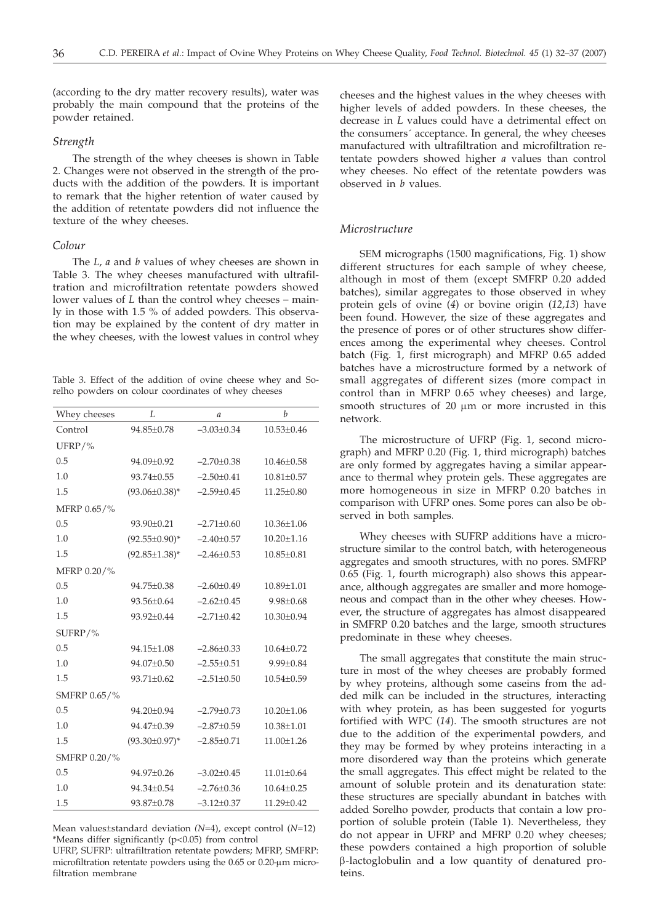(according to the dry matter recovery results), water was probably the main compound that the proteins of the powder retained.

# *Strength*

The strength of the whey cheeses is shown in Table 2. Changes were not observed in the strength of the products with the addition of the powders. It is important to remark that the higher retention of water caused by the addition of retentate powders did not influence the texture of the whey cheeses.

#### *Colour*

The *L*, *a* and *b* values of whey cheeses are shown in Table 3. The whey cheeses manufactured with ultrafiltration and microfiltration retentate powders showed lower values of *L* than the control whey cheeses – mainly in those with 1.5 % of added powders. This observation may be explained by the content of dry matter in the whey cheeses, with the lowest values in control whey

Table 3. Effect of the addition of ovine cheese whey and Sorelho powders on colour coordinates of whey cheeses

| Whey cheeses | L                    | $\mathfrak a$    | $\boldsymbol{b}$ |
|--------------|----------------------|------------------|------------------|
| Control      | 94.85±0.78           | $-3.03 \pm 0.34$ | $10.53 \pm 0.46$ |
| UFRP/ $%$    |                      |                  |                  |
| 0.5          | 94.09±0.92           | $-2.70 \pm 0.38$ | 10.46±0.58       |
| 1.0          | 93.74±0.55           | $-2.50 \pm 0.41$ | $10.81 \pm 0.57$ |
| 1.5          | $(93.06 \pm 0.38)^*$ | $-2.59 \pm 0.45$ | 11.25±0.80       |
| MFRP 0.65/%  |                      |                  |                  |
| 0.5          | 93.90±0.21           | $-2.71 \pm 0.60$ | $10.36 \pm 1.06$ |
| 1.0          | $(92.55 \pm 0.90)^*$ | $-2.40 \pm 0.57$ | $10.20 \pm 1.16$ |
| 1.5          | $(92.85 \pm 1.38)^*$ | $-2.46 \pm 0.53$ | $10.85 \pm 0.81$ |
| MFRP 0.20/%  |                      |                  |                  |
| 0.5          | 94.75±0.38           | $-2.60 \pm 0.49$ | $10.89{\pm}1.01$ |
| 1.0          | 93.56±0.64           | $-2.62 \pm 0.45$ | $9.98 \pm 0.68$  |
| 1.5          | 93.92±0.44           | $-2.71 \pm 0.42$ | $10.30 \pm 0.94$ |
| SUFRP/%      |                      |                  |                  |
| 0.5          | 94.15±1.08           | $-2.86\pm0.33$   | $10.64 \pm 0.72$ |
| 1.0          | 94.07±0.50           | $-2.55 \pm 0.51$ | 9.99±0.84        |
| 1.5          | $93.71 \pm 0.62$     | $-2.51 \pm 0.50$ | $10.54 \pm 0.59$ |
| SMFRP 0.65/% |                      |                  |                  |
| 0.5          | 94.20±0.94           | $-2.79 \pm 0.73$ | $10.20 \pm 1.06$ |
| 1.0          | 94.47±0.39           | $-2.87 \pm 0.59$ | 10.38±1.01       |
| 1.5          | $(93.30 \pm 0.97)^*$ | $-2.85 \pm 0.71$ | 11.00±1.26       |
| SMFRP 0.20/% |                      |                  |                  |
| 0.5          | 94.97±0.26           | $-3.02 \pm 0.45$ | $11.01 \pm 0.64$ |
| 1.0          | 94.34±0.54           | $-2.76 \pm 0.36$ | $10.64 \pm 0.25$ |
| 1.5          | 93.87±0.78           | $-3.12 \pm 0.37$ | $11.29 \pm 0.42$ |

Mean values±standard deviation *(N*=4), except control (*N*=12) \*Means differ significantly (p<0.05) from control

UFRP, SUFRP: ultrafiltration retentate powders; MFRP, SMFRP: microfiltration retentate powders using the  $0.65$  or  $0.20$ - $\mu$ m microfiltration membrane

cheeses and the highest values in the whey cheeses with higher levels of added powders. In these cheeses, the decrease in *L* values could have a detrimental effect on the consumers´ acceptance. In general, the whey cheeses manufactured with ultrafiltration and microfiltration retentate powders showed higher *a* values than control whey cheeses. No effect of the retentate powders was observed in *b* values.

# *Microstructure*

SEM micrographs (1500 magnifications, Fig. 1) show different structures for each sample of whey cheese, although in most of them (except SMFRP 0.20 added batches), similar aggregates to those observed in whey protein gels of ovine (*4*) or bovine origin (*12,13*) have been found. However, the size of these aggregates and the presence of pores or of other structures show differences among the experimental whey cheeses. Control batch (Fig. 1, first micrograph) and MFRP 0.65 added batches have a microstructure formed by a network of small aggregates of different sizes (more compact in control than in MFRP 0.65 whey cheeses) and large, smooth structures of  $20 \mu m$  or more incrusted in this network.

The microstructure of UFRP (Fig. 1, second micrograph) and MFRP 0.20 (Fig. 1, third micrograph) batches are only formed by aggregates having a similar appearance to thermal whey protein gels. These aggregates are more homogeneous in size in MFRP 0.20 batches in comparison with UFRP ones. Some pores can also be observed in both samples.

Whey cheeses with SUFRP additions have a microstructure similar to the control batch, with heterogeneous aggregates and smooth structures, with no pores. SMFRP 0.65 (Fig. 1, fourth micrograph) also shows this appearance, although aggregates are smaller and more homogeneous and compact than in the other whey cheeses. However, the structure of aggregates has almost disappeared in SMFRP 0.20 batches and the large, smooth structures predominate in these whey cheeses.

The small aggregates that constitute the main structure in most of the whey cheeses are probably formed by whey proteins, although some caseins from the added milk can be included in the structures, interacting with whey protein, as has been suggested for yogurts fortified with WPC (*14*). The smooth structures are not due to the addition of the experimental powders, and they may be formed by whey proteins interacting in a more disordered way than the proteins which generate the small aggregates. This effect might be related to the amount of soluble protein and its denaturation state: these structures are specially abundant in batches with added Sorelho powder, products that contain a low proportion of soluble protein (Table 1). Nevertheless, they do not appear in UFRP and MFRP 0.20 whey cheeses; these powders contained a high proportion of soluble b-lactoglobulin and a low quantity of denatured proteins.